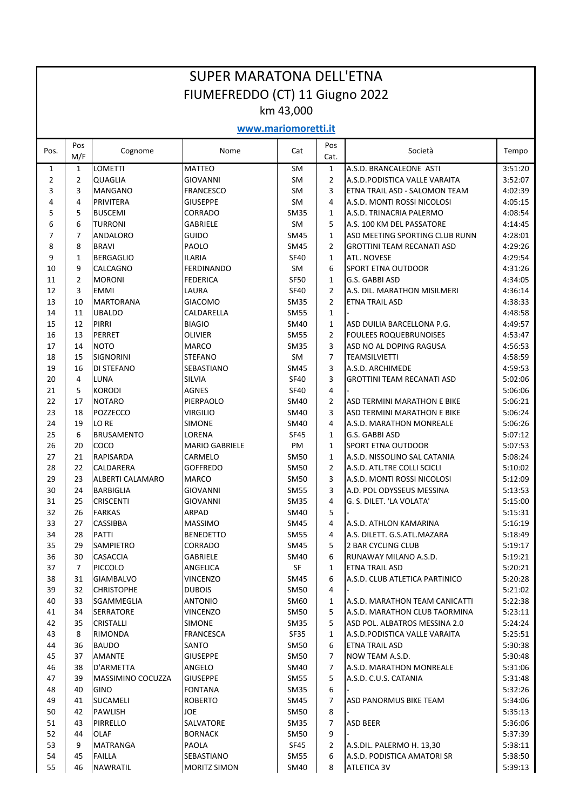## SUPER MARATONA DELL'ETNA FIUMEFREDDO (CT) 11 Giugno 2022 km 43,000

## **www.mariomoretti.it**

| Pos.           | Pos<br>M/F     | Cognome                              | Nome                  | Cat                               | Pos<br>Cat.       | Società                                         | Tempo              |
|----------------|----------------|--------------------------------------|-----------------------|-----------------------------------|-------------------|-------------------------------------------------|--------------------|
| $\mathbf{1}$   | $\mathbf{1}$   | <b>LOMETTI</b>                       | <b>MATTEO</b>         | <b>SM</b>                         | $\mathbf{1}$      | A.S.D. BRANCALEONE ASTI                         | 3:51:20            |
| $\overline{2}$ | $\overline{2}$ | <b>QUAGLIA</b>                       | <b>GIOVANNI</b>       | <b>SM</b>                         | $\overline{2}$    | A.S.D. PODISTICA VALLE VARAITA                  | 3:52:07            |
| 3              | 3              | <b>MANGANO</b>                       | <b>FRANCESCO</b>      | <b>SM</b>                         | 3                 | ETNA TRAIL ASD - SALOMON TEAM                   | 4:02:39            |
| 4              | 4              | <b>PRIVITERA</b>                     | <b>GIUSEPPE</b>       | <b>SM</b>                         | 4                 | A.S.D. MONTI ROSSI NICOLOSI                     | 4:05:15            |
| 5              | 5              | <b>BUSCEMI</b>                       | CORRADO               | <b>SM35</b>                       | $\mathbf{1}$      | A.S.D. TRINACRIA PALERMO                        | 4:08:54            |
| 6              | 6              | <b>TURRONI</b>                       | <b>GABRIELE</b>       | SM                                | 5                 | A.S. 100 KM DEL PASSATORE                       | 4:14:45            |
| $\overline{7}$ | 7              | <b>ANDALORO</b>                      | GUIDO                 | <b>SM45</b>                       | $\mathbf{1}$      | ASD MEETING SPORTING CLUB RUNN                  | 4:28:01            |
| 8              | 8              | <b>BRAVI</b>                         | PAOLO                 | SM45                              | $\overline{2}$    | <b>GROTTINI TEAM RECANATI ASD</b>               | 4:29:26            |
| 9              | $\mathbf{1}$   | <b>BERGAGLIO</b>                     | <b>ILARIA</b>         | <b>SF40</b>                       | $\mathbf{1}$      | <b>ATL. NOVESE</b>                              | 4:29:54            |
| 10             | 9              | <b>CALCAGNO</b>                      | <b>FERDINANDO</b>     | SM                                | 6                 | <b>SPORT ETNA OUTDOOR</b>                       | 4:31:26            |
| 11             | $\overline{2}$ | <b>MORONI</b>                        | <b>FEDERICA</b>       | <b>SF50</b>                       | $\mathbf{1}$      | G.S. GABBI ASD                                  | 4:34:05            |
| 12             | 3              | <b>EMMI</b>                          | LAURA                 | <b>SF40</b>                       | $\overline{2}$    | A.S. DIL. MARATHON MISILMERI                    | 4:36:14            |
| 13             | 10             | <b>MARTORANA</b>                     | <b>GIACOMO</b>        | <b>SM35</b>                       | $\overline{2}$    | <b>ETNA TRAIL ASD</b>                           | 4:38:33            |
| 14             | 11             | <b>UBALDO</b>                        | CALDARELLA            | <b>SM55</b>                       | $\mathbf{1}$      |                                                 | 4:48:58            |
| 15             | 12             | <b>PIRRI</b>                         | <b>BIAGIO</b>         | SM40                              | $\mathbf{1}$      | ASD DUILIA BARCELLONA P.G.                      | 4:49:57            |
| 16             | 13             | <b>PERRET</b>                        | <b>OLIVIER</b>        | <b>SM55</b>                       | $\overline{2}$    | <b>FOULEES ROQUEBRUNOISES</b>                   | 4:53:47            |
| 17             | 14             | <b>NOTO</b>                          | <b>MARCO</b>          | <b>SM35</b>                       | 3                 | ASD NO AL DOPING RAGUSA                         | 4:56:53            |
| 18             | 15             | <b>SIGNORINI</b>                     | STEFANO               | SM                                | 7                 | <b>TEAMSILVIETTI</b>                            | 4:58:59            |
| 19             | 16             | <b>DI STEFANO</b>                    | SEBASTIANO            | <b>SM45</b>                       | 3                 | A.S.D. ARCHIMEDE                                | 4:59:53            |
| 20             | 4              | <b>LUNA</b>                          | SILVIA                | <b>SF40</b>                       | 3                 | <b>GROTTINI TEAM RECANATI ASD</b>               | 5:02:06            |
| 21             | 5              | <b>KORODI</b>                        | AGNES                 | <b>SF40</b>                       | 4                 |                                                 | 5:06:06            |
| 22             | 17             | <b>NOTARO</b>                        | PIERPAOLO             | SM40                              | $\overline{2}$    | ASD TERMINI MARATHON E BIKE                     | 5:06:21            |
| 23             | 18             | POZZECCO                             | <b>VIRGILIO</b>       | SM40                              | 3                 | ASD TERMINI MARATHON E BIKE                     | 5:06:24            |
| 24             | 19             | LO RE                                | <b>SIMONE</b>         | <b>SM40</b>                       | 4                 | A.S.D. MARATHON MONREALE                        | 5:06:26            |
| 25             | 6              | <b>BRUSAMENTO</b>                    | LORENA                | <b>SF45</b>                       | $\mathbf{1}$      | G.S. GABBI ASD                                  | 5:07:12            |
| 26             | 20             | COCO                                 | <b>MARIO GABRIELE</b> | PM                                | $\mathbf{1}$      | <b>SPORT ETNA OUTDOOR</b>                       | 5:07:53            |
| 27             | 21             | <b>RAPISARDA</b>                     | CARMELO               | <b>SM50</b>                       | $\mathbf{1}$      | A.S.D. NISSOLINO SAL CATANIA                    | 5:08:24            |
| 28             | 22             | CALDARERA                            | <b>GOFFREDO</b>       | SM50                              | $\overline{2}$    | A.S.D. ATL.TRE COLLI SCICLI                     | 5:10:02            |
| 29             | 23             | ALBERTI CALAMARO                     | <b>MARCO</b>          | SM50                              | 3                 | A.S.D. MONTI ROSSI NICOLOSI                     | 5:12:09            |
| 30             | 24             | <b>BARBIGLIA</b>                     | GIOVANNI              | SM55                              | 3                 | A.D. POL ODYSSEUS MESSINA                       | 5:13:53            |
| 31             | 25             | <b>CRISCENTI</b>                     | <b>GIOVANNI</b>       | <b>SM35</b>                       | 4                 | G. S. DILET. 'LA VOLATA'                        | 5:15:00            |
| 32             | 26             | <b>FARKAS</b>                        | <b>ARPAD</b>          | SM40                              | 5                 |                                                 | 5:15:31            |
| 33             | 27             | <b>CASSIBBA</b>                      | <b>MASSIMO</b>        | SM45                              | 4                 | A.S.D. ATHLON KAMARINA                          | 5:16:19            |
| 34             | 28             | <b>PATTI</b>                         | <b>BENEDETTO</b>      | <b>SM55</b>                       | 4                 | A.S. DILETT. G.S.ATL.MAZARA                     | 5:18:49            |
| 35             | 29             | SAMPIETRO                            | CORRADO               | SM45                              | 5                 | 2 BAR CYCLING CLUB                              | 5:19:17            |
| 36             | 30             | <b>CASACCIA</b>                      | <b>GABRIELE</b>       | SM40                              | 6                 | RUNAWAY MILANO A.S.D.                           | 5:19:21            |
| 37             | $\overline{7}$ | PICCOLO                              | ANGELICA              | $\ensuremath{\mathsf{SF}}\xspace$ | $\mathbf{1}$      | <b>ETNA TRAIL ASD</b>                           | 5:20:21            |
| 38             | 31             | <b>GIAMBALVO</b>                     | <b>VINCENZO</b>       | SM45                              | 6                 | A.S.D. CLUB ATLETICA PARTINICO                  | 5:20:28            |
| 39             | 32             | <b>CHRISTOPHE</b>                    | <b>DUBOIS</b>         | <b>SM50</b>                       | 4                 | A.S.D. MARATHON TEAM CANICATTI                  | 5:21:02            |
| 40             | 33             | SGAMMEGLIA                           | <b>ANTONIO</b>        | SM60                              | $\mathbf{1}$      |                                                 | 5:22:38<br>5:23:11 |
| 41             | 34             | <b>SERRATORE</b><br><b>CRISTALLI</b> | <b>VINCENZO</b>       | <b>SM50</b>                       | 5<br>5            | A.S.D. MARATHON CLUB TAORMINA                   |                    |
| 42             | 35             |                                      | <b>SIMONE</b>         | <b>SM35</b>                       |                   | ASD POL. ALBATROS MESSINA 2.0                   | 5:24:24            |
| 43<br>44       | 8<br>36        | RIMONDA<br><b>BAUDO</b>              | FRANCESCA<br>SANTO    | SF35<br>SM50                      | $\mathbf{1}$<br>6 | A.S.D.PODISTICA VALLE VARAITA<br>ETNA TRAIL ASD | 5:25:51<br>5:30:38 |
| 45             | 37             | <b>AMANTE</b>                        | <b>GIUSEPPE</b>       |                                   | 7                 | NOW TEAM A.S.D.                                 |                    |
| 46             | 38             | D'ARMETTA                            | ANGELO                | SM50<br>SM40                      | 7                 | A.S.D. MARATHON MONREALE                        | 5:30:48            |
| 47             | 39             | MASSIMINO COCUZZA                    | <b>GIUSEPPE</b>       | <b>SM55</b>                       | 5                 | A.S.D. C.U.S. CATANIA                           | 5:31:06<br>5:31:48 |
| 48             | 40             | <b>GINO</b>                          | <b>FONTANA</b>        | SM35                              | 6                 |                                                 | 5:32:26            |
| 49             | 41             | <b>SUCAMELI</b>                      | <b>ROBERTO</b>        | SM45                              | 7                 | ASD PANORMUS BIKE TEAM                          | 5:34:06            |
| 50             | 42             | <b>PAWLISH</b>                       | JOE                   | SM50                              | 8                 |                                                 | 5:35:13            |
| 51             | 43             | <b>PIRRELLO</b>                      | SALVATORE             | <b>SM35</b>                       | $\overline{7}$    | ASD BEER                                        | 5:36:06            |
| 52             | 44             | OLAF                                 | <b>BORNACK</b>        | <b>SM50</b>                       | 9                 |                                                 | 5:37:39            |
| 53             | 9              | <b>MATRANGA</b>                      | PAOLA                 | SF45                              | $\overline{2}$    | A.S.DIL. PALERMO H. 13,30                       | 5:38:11            |
| 54             | 45             | <b>FAILLA</b>                        | SEBASTIANO            | <b>SM55</b>                       | 6                 | A.S.D. PODISTICA AMATORI SR                     | 5:38:50            |
| 55             | 46             | <b>NAWRATIL</b>                      | <b>MORITZ SIMON</b>   | SM40                              | 8                 | <b>ATLETICA 3V</b>                              | 5:39:13            |
|                |                |                                      |                       |                                   |                   |                                                 |                    |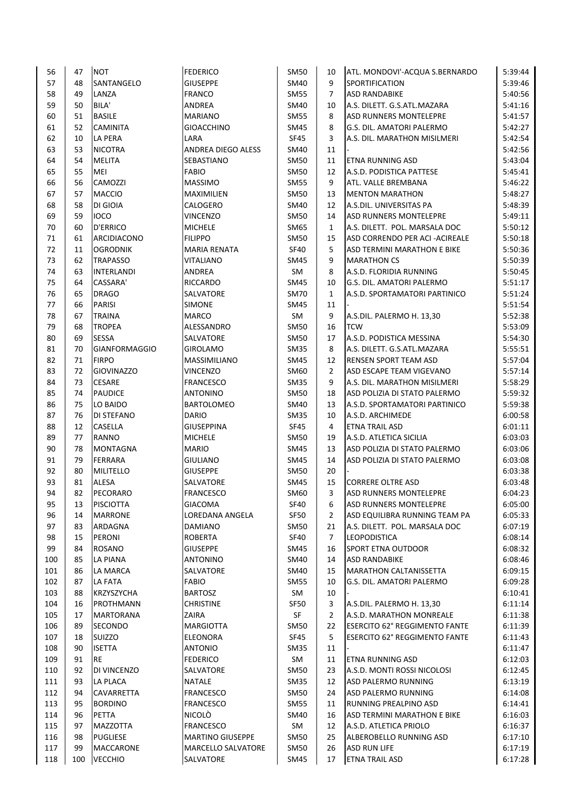| 56       | 47       | <b>NOT</b>                           | <b>FEDERICO</b>         | <b>SM50</b>       | 10                   | ATL. MONDOVI'-ACQUA S.BERNARDO       | 5:39:44            |
|----------|----------|--------------------------------------|-------------------------|-------------------|----------------------|--------------------------------------|--------------------|
| 57       | 48       | SANTANGELO                           | <b>GIUSEPPE</b>         | SM40              | 9                    | SPORTIFICATION                       | 5:39:46            |
| 58       | 49       | LANZA                                | <b>FRANCO</b>           | <b>SM55</b>       | $\overline{7}$       | <b>ASD RANDABIKE</b>                 | 5:40:56            |
| 59       | 50       | BILA'                                | ANDREA                  | SM40              | 10                   | A.S. DILETT. G.S.ATL.MAZARA          | 5:41:16            |
| 60       | 51       | <b>BASILE</b>                        | <b>MARIANO</b>          | <b>SM55</b>       | 8                    | <b>ASD RUNNERS MONTELEPRE</b>        | 5:41:57            |
| 61       | 52       | <b>CAMINITA</b>                      | <b>GIOACCHINO</b>       | SM45              | 8                    | lG.S. DIL. AMATORI PALERMO           | 5:42:27            |
| 62       | 10       | LA PERA                              | LARA                    | <b>SF45</b>       | 3                    | A.S. DIL. MARATHON MISILMERI         | 5:42:54            |
| 63       | 53       | <b>NICOTRA</b>                       | ANDREA DIEGO ALESS      | SM40              | 11                   |                                      | 5:42:56            |
| 64       | 54       | <b>MELITA</b>                        | SEBASTIANO              | <b>SM50</b>       | 11                   | ETNA RUNNING ASD                     | 5:43:04            |
| 65       | 55       | MEI                                  | <b>FABIO</b>            | SM50              | 12                   | A.S.D. PODISTICA PATTESE             | 5:45:41            |
| 66       | 56       | CAMOZZI                              | <b>MASSIMO</b>          | <b>SM55</b>       | 9                    | ATL. VALLE BREMBANA                  | 5:46:22            |
| 67       | 57       | <b>MACCIO</b>                        | MAXIMILIEN              | SM50              | 13                   | <b>MENTON MARATHON</b>               | 5:48:27            |
| 68       | 58       | DI GIOIA                             | CALOGERO                | SM40              | 12                   | A.S.DIL. UNIVERSITAS PA              | 5:48:39            |
| 69       | 59       | <b>IOCO</b>                          | VINCENZO                | SM50              | 14                   | ASD RUNNERS MONTELEPRE               | 5:49:11            |
| 70       | 60       | <b>D'ERRICO</b>                      | <b>MICHELE</b>          | SM65              | $\mathbf{1}$         | A.S. DILETT. POL. MARSALA DOC        | 5:50:12            |
| 71       | 61       | ARCIDIACONO                          | <b>FILIPPO</b>          | SM50              | 15                   | ASD CORRENDO PER ACI - ACIREALE      | 5:50:18            |
| 72       | 11       | <b>OGRODNIK</b>                      | <b>MARIA RENATA</b>     | <b>SF40</b>       | 5                    | ASD TERMINI MARATHON E BIKE          | 5:50:36            |
| 73       | 62       | <b>TRAPASSO</b>                      | VITALIANO               | SM45              | 9                    | <b>MARATHON CS</b>                   | 5:50:39            |
| 74       | 63       | INTERLANDI                           | <b>ANDREA</b>           | SM                | 8                    | A.S.D. FLORIDIA RUNNING              | 5:50:45            |
| 75       | 64       | CASSARA'                             | RICCARDO                | <b>SM45</b>       | 10                   | G.S. DIL. AMATORI PALERMO            | 5:51:17            |
| 76       | 65       | <b>DRAGO</b>                         | SALVATORE               | <b>SM70</b>       | $\mathbf{1}$         | A.S.D. SPORTAMATORI PARTINICO        | 5:51:24            |
| 77       | 66       | <b>PARISI</b>                        | <b>SIMONE</b>           | SM45              | 11                   |                                      | 5:51:54            |
| 78       | 67       | <b>TRAINA</b>                        | <b>MARCO</b>            |                   | 9                    |                                      | 5:52:38            |
| 79       |          | <b>TROPEA</b>                        |                         | SM<br><b>SM50</b> |                      | A.S.DIL. PALERMO H. 13,30            | 5:53:09            |
| 80       | 68<br>69 | <b>SESSA</b>                         | ALESSANDRO              | <b>SM50</b>       | 16                   | <b>TCW</b>                           |                    |
|          |          |                                      | SALVATORE               |                   | 17                   | A.S.D. PODISTICA MESSINA             | 5:54:30            |
| 81       | 70       | <b>GIANFORMAGGIO</b><br><b>FIRPO</b> | <b>GIROLAMO</b>         | <b>SM35</b>       | 8                    | A.S. DILETT. G.S.ATL.MAZARA          | 5:55:51            |
| 82<br>83 | 71<br>72 |                                      | MASSIMILIANO            | SM45              | 12<br>$\overline{2}$ | <b>RENSEN SPORT TEAM ASD</b>         | 5:57:04<br>5:57:14 |
| 84       | 73       | <b>GIOVINAZZO</b><br><b>CESARE</b>   | VINCENZO                | SM60              | 9                    | ASD ESCAPE TEAM VIGEVANO             | 5:58:29            |
|          |          |                                      | <b>FRANCESCO</b>        | <b>SM35</b>       |                      | A.S. DIL. MARATHON MISILMERI         |                    |
| 85       | 74       | <b>PAUDICE</b>                       | <b>ANTONINO</b>         | SM50              | 18                   | ASD POLIZIA DI STATO PALERMO         | 5:59:32            |
| 86<br>87 | 75       | LO BAIDO                             | BARTOLOMEO              | SM40              | 13                   | A.S.D. SPORTAMATORI PARTINICO        | 5:59:38<br>6:00:58 |
|          | 76       | DI STEFANO                           | <b>DARIO</b>            | <b>SM35</b>       | 10                   | A.S.D. ARCHIMEDE                     |                    |
| 88       | 12       | <b>CASELLA</b>                       | <b>GIUSEPPINA</b>       | SF45              | 4                    | <b>ETNA TRAIL ASD</b>                | 6:01:11            |
| 89       | 77       | RANNO                                | <b>MICHELE</b>          | SM50              | 19                   | A.S.D. ATLETICA SICILIA              | 6:03:03            |
| 90       | 78       | <b>MONTAGNA</b>                      | <b>MARIO</b>            | SM45              | 13                   | ASD POLIZIA DI STATO PALERMO         | 6:03:06            |
| 91       | 79       | <b>FERRARA</b>                       | GIULIANO                | SM45              | 14                   | ASD POLIZIA DI STATO PALERMO         | 6:03:08            |
| 92       | 80       | MILITELLO                            | <b>GIUSEPPE</b>         | SM50              | 20                   |                                      | 6:03:38            |
| 93<br>94 | 81<br>82 | <b>ALESA</b><br>PECORARO             | SALVATORE               | SM45              | 15<br>3              | <b>CORRERE OLTRE ASD</b>             | 6:03:48<br>6:04:23 |
|          |          |                                      | <b>FRANCESCO</b>        | SM60              |                      | <b>ASD RUNNERS MONTELEPRE</b>        |                    |
| 95       | 13       | <b>PISCIOTTA</b>                     | <b>GIACOMA</b>          | SF40              | 6                    | <b>ASD RUNNERS MONTELEPRE</b>        | 6:05:00            |
| 96       | 14       | <b>MARRONE</b>                       | LOREDANA ANGELA         | SF50              | $\overline{2}$       | ASD EQUILIBRA RUNNING TEAM PA        | 6:05:33            |
| 97       | 83       | ARDAGNA                              | DAMIANO                 | SM50              | 21                   | A.S. DILETT. POL. MARSALA DOC        | 6:07:19            |
| 98       | 15       | PERONI                               | <b>ROBERTA</b>          | <b>SF40</b>       | $\overline{7}$       | <b>LEOPODISTICA</b>                  | 6:08:14            |
| 99       | 84       | ROSANO                               | <b>GIUSEPPE</b>         | SM45              | 16                   | <b>SPORT ETNA OUTDOOR</b>            | 6:08:32            |
| 100      | 85       | LA PIANA                             | <b>ANTONINO</b>         | SM40              | 14                   | <b>ASD RANDABIKE</b>                 | 6:08:46            |
| 101      | 86       | LA MARCA                             | SALVATORE               | SM40              | 15                   | <b>MARATHON CALTANISSETTA</b>        | 6:09:15            |
| 102      | 87       | LA FATA                              | <b>FABIO</b>            | <b>SM55</b>       | 10                   | G.S. DIL. AMATORI PALERMO            | 6:09:28            |
| 103      | 88       | KRZYSZYCHA                           | <b>BARTOSZ</b>          | SM                | 10                   |                                      | 6:10:41            |
| 104      | 16       | PROTHMANN                            | CHRISTINE               | <b>SF50</b>       | 3                    | A.S.DIL. PALERMO H. 13,30            | 6:11:14            |
| 105      | 17       | <b>MARTORANA</b>                     | ZAIRA                   | SF                | $\overline{2}$       | A.S.D. MARATHON MONREALE             | 6:11:38            |
| 106      | 89       | SECONDO                              | MARGIOTTA               | SM50              | 22                   | <b>ESERCITO 62° REGGIMENTO FANTE</b> | 6:11:39            |
| 107      | 18       | SUIZZO                               | ELEONORA                | SF45              | 5                    | ESERCITO 62° REGGIMENTO FANTE        | 6:11:43            |
| 108      | 90       | <b>ISETTA</b>                        | <b>ANTONIO</b>          | <b>SM35</b>       | 11                   |                                      | 6:11:47            |
| 109      | 91       | <b>RE</b>                            | <b>FEDERICO</b>         | SM                | 11                   | ETNA RUNNING ASD                     | 6:12:03            |
| 110      | 92       | DI VINCENZO                          | SALVATORE               | SM50              | 23                   | A.S.D. MONTI ROSSI NICOLOSI          | 6:12:45            |
| 111      | 93       | LA PLACA                             | <b>NATALE</b>           | SM35              | 12                   | ASD PALERMO RUNNING                  | 6:13:19            |
| 112      | 94       | CAVARRETTA                           | <b>FRANCESCO</b>        | SM50              | 24                   | ASD PALERMO RUNNING                  | 6:14:08            |
| 113      | 95       | <b>BORDINO</b>                       | FRANCESCO               | <b>SM55</b>       | 11                   | <b>RUNNING PREALPINO ASD</b>         | 6:14:41            |
| 114      | 96       | PETTA                                | NICOLÒ                  | SM40              | 16                   | ASD TERMINI MARATHON E BIKE          | 6:16:03            |
| 115      | 97       | MAZZOTTA                             | FRANCESCO               | SM                | 12                   | A.S.D. ATLETICA PRIOLO               | 6:16:37            |
| 116      | 98       | <b>PUGLIESE</b>                      | <b>MARTINO GIUSEPPE</b> | SM50              | 25                   | ALBEROBELLO RUNNING ASD              | 6:17:10            |
| 117      | 99       | <b>MACCARONE</b>                     | MARCELLO SALVATORE      | SM50              | 26                   | <b>ASD RUN LIFE</b>                  | 6:17:19            |
| 118      | 100      | <b>VECCHIO</b>                       | SALVATORE               | SM45              | 17                   | <b>ETNA TRAIL ASD</b>                | 6:17:28            |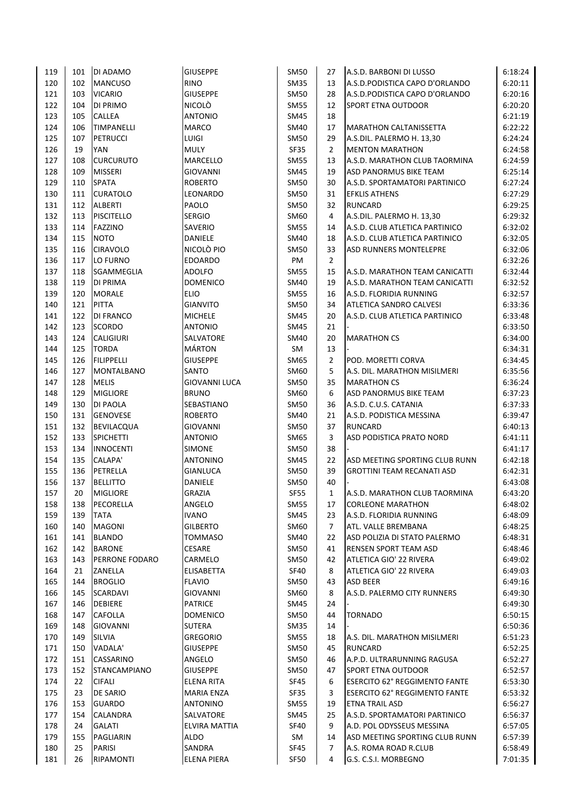| 119 | 101 | <b>DI ADAMO</b>       | <b>GIUSEPPE</b>      | <b>SM50</b>      | 27                   | A.S.D. BARBONI DI LUSSO           | 6:18:24            |
|-----|-----|-----------------------|----------------------|------------------|----------------------|-----------------------------------|--------------------|
| 120 | 102 | <b>MANCUSO</b>        | <b>RINO</b>          | <b>SM35</b>      | 13                   | A.S.D.PODISTICA CAPO D'ORLANDO    | 6:20:11            |
| 121 | 103 | <b>VICARIO</b>        | <b>GIUSEPPE</b>      | <b>SM50</b>      | 28                   | A.S.D.PODISTICA CAPO D'ORLANDO    | 6:20:16            |
| 122 | 104 | <b>DI PRIMO</b>       | <b>NICOLÒ</b>        | <b>SM55</b>      | 12                   | <b>SPORT ETNA OUTDOOR</b>         | 6:20:20            |
| 123 | 105 | <b>CALLEA</b>         | <b>ANTONIO</b>       | SM45             | 18                   |                                   | 6:21:19            |
| 124 | 106 | <b>TIMPANELLI</b>     | <b>MARCO</b>         | SM40             | 17                   | <b>MARATHON CALTANISSETTA</b>     | 6:22:22            |
| 125 | 107 | <b>PETRUCCI</b>       | LUIGI                | <b>SM50</b>      | 29                   | A.S.DIL. PALERMO H. 13,30         | 6:24:24            |
| 126 | 19  | <b>YAN</b>            | <b>MULY</b>          | <b>SF35</b>      | $\overline{2}$       | <b>MENTON MARATHON</b>            | 6:24:58            |
| 127 | 108 | <b>CURCURUTO</b>      | MARCELLO             | <b>SM55</b>      | 13                   | A.S.D. MARATHON CLUB TAORMINA     | 6:24:59            |
| 128 | 109 | <b>MISSERI</b>        | <b>GIOVANNI</b>      | <b>SM45</b>      | 19                   | ASD PANORMUS BIKE TEAM            | 6:25:14            |
| 129 | 110 | <b>SPATA</b>          | <b>ROBERTO</b>       | <b>SM50</b>      | 30                   | A.S.D. SPORTAMATORI PARTINICO     | 6:27:24            |
| 130 | 111 | <b>CURATOLO</b>       | LEONARDO             | <b>SM50</b>      | 31                   | <b>EFKLIS ATHENS</b>              | 6:27:29            |
| 131 | 112 | <b>ALBERTI</b>        | PAOLO                | <b>SM50</b>      | 32                   | <b>RUNCARD</b>                    | 6:29:25            |
| 132 | 113 | <b>PISCITELLO</b>     | <b>SERGIO</b>        | SM60             | 4                    | A.S.DIL. PALERMO H. 13,30         | 6:29:32            |
| 133 | 114 | FAZZINO               | SAVERIO              | <b>SM55</b>      | 14                   | A.S.D. CLUB ATLETICA PARTINICO    | 6:32:02            |
| 134 | 115 | <b>NOTO</b>           | DANIELE              | SM40             | 18                   | A.S.D. CLUB ATLETICA PARTINICO    | 6:32:05            |
| 135 | 116 | <b>CIRAVOLO</b>       | NICOLO PIO           | <b>SM50</b>      | 33                   | <b>ASD RUNNERS MONTELEPRE</b>     | 6:32:06            |
| 136 | 117 | LO FURNO              | <b>EDOARDO</b>       | PM               | $\overline{2}$       |                                   | 6:32:26            |
| 137 | 118 | <b>SGAMMEGLIA</b>     | <b>ADOLFO</b>        | <b>SM55</b>      | 15                   | A.S.D. MARATHON TEAM CANICATTI    | 6:32:44            |
| 138 | 119 | <b>DI PRIMA</b>       | <b>DOMENICO</b>      | SM40             | 19                   | A.S.D. MARATHON TEAM CANICATTI    | 6:32:52            |
| 139 | 120 | <b>MORALE</b>         | <b>ELIO</b>          | <b>SM55</b>      | 16                   | A.S.D. FLORIDIA RUNNING           | 6:32:57            |
| 140 | 121 | <b>PITTA</b>          | <b>GIANVITO</b>      | <b>SM50</b>      | 34                   | <b>ATLETICA SANDRO CALVESI</b>    | 6:33:36            |
| 141 | 122 | <b>DI FRANCO</b>      | <b>MICHELE</b>       | SM45             | 20                   | A.S.D. CLUB ATLETICA PARTINICO    | 6:33:48            |
| 142 | 123 | <b>SCORDO</b>         | <b>ANTONIO</b>       | <b>SM45</b>      | 21                   |                                   | 6:33:50            |
| 143 | 124 | <b>CALIGIURI</b>      | SALVATORE            | <b>SM40</b>      | 20                   | <b>MARATHON CS</b>                | 6:34:00            |
| 144 | 125 | <b>TORDA</b>          | <b>MÁRTON</b>        | SM               | 13                   |                                   | 6:34:31            |
| 145 | 126 | <b>FILIPPELLI</b>     | <b>GIUSEPPE</b>      | <b>SM65</b>      | $\mathbf 2$          | POD. MORETTI CORVA                | 6:34:45            |
| 146 | 127 | <b>MONTALBANO</b>     | SANTO                | SM60             | 5                    | A.S. DIL. MARATHON MISILMERI      | 6:35:56            |
| 147 | 128 | <b>MELIS</b>          | <b>GIOVANNI LUCA</b> | SM50             | 35                   | <b>MARATHON CS</b>                | 6:36:24            |
| 148 | 129 | <b>MIGLIORE</b>       | <b>BRUNO</b>         | SM60             | 6                    | ASD PANORMUS BIKE TEAM            | 6:37:23            |
| 149 | 130 | <b>DI PAOLA</b>       | SEBASTIANO           | <b>SM50</b>      | 36                   | A.S.D. C.U.S. CATANIA             | 6:37:33            |
| 150 | 131 | <b>GENOVESE</b>       | <b>ROBERTO</b>       | SM40             | 21                   | A.S.D. PODISTICA MESSINA          | 6:39:47            |
| 151 | 132 | <b>BEVILACQUA</b>     | <b>GIOVANNI</b>      | <b>SM50</b>      | 37                   | <b>RUNCARD</b>                    | 6:40:13            |
| 152 | 133 | <b>SPICHETTI</b>      | <b>ANTONIO</b>       | <b>SM65</b>      | 3                    | ASD PODISTICA PRATO NORD          | 6:41:11            |
| 153 | 134 | <b>INNOCENTI</b>      | <b>SIMONE</b>        | <b>SM50</b>      | 38                   |                                   | 6:41:17            |
| 154 | 135 | <b>CALAPA'</b>        | ANTONINO             | <b>SM45</b>      | 22                   | ASD MEETING SPORTING CLUB RUNN    | 6:42:18            |
| 155 | 136 | PETRELLA              | <b>GIANLUCA</b>      | <b>SM50</b>      | 39                   | <b>GROTTINI TEAM RECANATI ASD</b> | 6:42:31            |
| 156 | 137 | <b>BELLITTO</b>       | DANIELE              | <b>SM50</b>      | 40                   |                                   | 6:43:08            |
| 157 | 20  | <b>MIGLIORE</b>       | <b>GRAZIA</b>        | <b>SF55</b>      | $\mathbf{1}$         | A.S.D. MARATHON CLUB TAORMINA     | 6:43:20            |
| 158 | 138 | PECORELLA             | ANGELO               |                  | 17                   | <b>CORLEONE MARATHON</b>          | 6:48:02            |
|     |     |                       | <b>IVANO</b>         | SM55             |                      |                                   |                    |
| 159 | 139 | <b>TATA</b>           | <b>GILBERTO</b>      | <b>SM45</b>      | 23<br>$\overline{7}$ | A.S.D. FLORIDIA RUNNING           | 6:48:09            |
| 160 | 140 | <b>MAGONI</b>         | <b>TOMMASO</b>       | SM60             |                      | ATL. VALLE BREMBANA               | 6:48:25            |
| 161 | 141 | <b>BLANDO</b>         | <b>CESARE</b>        | SM40             | 22                   | ASD POLIZIA DI STATO PALERMO      | 6:48:31<br>6:48:46 |
| 162 | 142 | <b>BARONE</b>         |                      | <b>SM50</b>      | 41                   | <b>RENSEN SPORT TEAM ASD</b>      |                    |
| 163 | 143 | <b>PERRONE FODARO</b> | CARMELO              | <b>SM50</b>      | 42                   | ATLETICA GIO' 22 RIVERA           | 6:49:02            |
| 164 | 21  | <b>ZANELLA</b>        | ELISABETTA           | SF40             | 8                    | ATLETICA GIO' 22 RIVERA           | 6:49:03            |
| 165 | 144 | <b>BROGLIO</b>        | <b>FLAVIO</b>        | <b>SM50</b>      | 43                   | ASD BEER                          | 6:49:16            |
| 166 | 145 | SCARDAVI              | GIOVANNI             | SM60             | 8                    | A.S.D. PALERMO CITY RUNNERS       | 6:49:30            |
| 167 | 146 | <b>DEBIERE</b>        | <b>PATRICE</b>       | <b>SM45</b>      | 24                   |                                   | 6:49:30            |
| 168 | 147 | <b>CAFOLLA</b>        | <b>DOMENICO</b>      | <b>SM50</b>      | 44                   | <b>TORNADO</b>                    | 6:50:15            |
| 169 | 148 | <b>GIOVANNI</b>       | SUTERA               | SM <sub>35</sub> | 14                   |                                   | 6:50:36            |
| 170 | 149 | SILVIA                | <b>GREGORIO</b>      | <b>SM55</b>      | 18                   | A.S. DIL. MARATHON MISILMERI      | 6:51:23            |
| 171 | 150 | VADALA'               | <b>GIUSEPPE</b>      | <b>SM50</b>      | 45                   | <b>RUNCARD</b>                    | 6:52:25            |
| 172 | 151 | CASSARINO             | ANGELO               | SM50             | 46                   | A.P.D. ULTRARUNNING RAGUSA        | 6:52:27            |
| 173 | 152 | <b>STANCAMPIANO</b>   | <b>GIUSEPPE</b>      | SM50             | 47                   | <b>SPORT ETNA OUTDOOR</b>         | 6:52:57            |
| 174 | 22  | <b>CIFALI</b>         | ELENA RITA           | SF45             | 6                    | ESERCITO 62° REGGIMENTO FANTE     | 6:53:30            |
| 175 | 23  | DE SARIO              | <b>MARIA ENZA</b>    | SF35             | 3                    | ESERCITO 62° REGGIMENTO FANTE     | 6:53:32            |
| 176 | 153 | <b>GUARDO</b>         | <b>ANTONINO</b>      | <b>SM55</b>      | 19                   | ETNA TRAIL ASD                    | 6:56:27            |
| 177 | 154 | CALANDRA              | SALVATORE            | <b>SM45</b>      | 25                   | A.S.D. SPORTAMATORI PARTINICO     | 6:56:37            |
| 178 | 24  | <b>GALATI</b>         | ELVIRA MATTIA        | <b>SF40</b>      | 9                    | A.D. POL ODYSSEUS MESSINA         | 6:57:05            |
| 179 | 155 | PAGLIARIN             | <b>ALDO</b>          | SM               | 14                   | ASD MEETING SPORTING CLUB RUNN    | 6:57:39            |
| 180 | 25  | <b>PARISI</b>         | SANDRA               | SF45             | 7                    | A.S. ROMA ROAD R.CLUB             | 6:58:49            |
| 181 | 26  | RIPAMONTI             | <b>ELENA PIERA</b>   | SF50             | 4                    | G.S. C.S.I. MORBEGNO              | 7:01:35            |